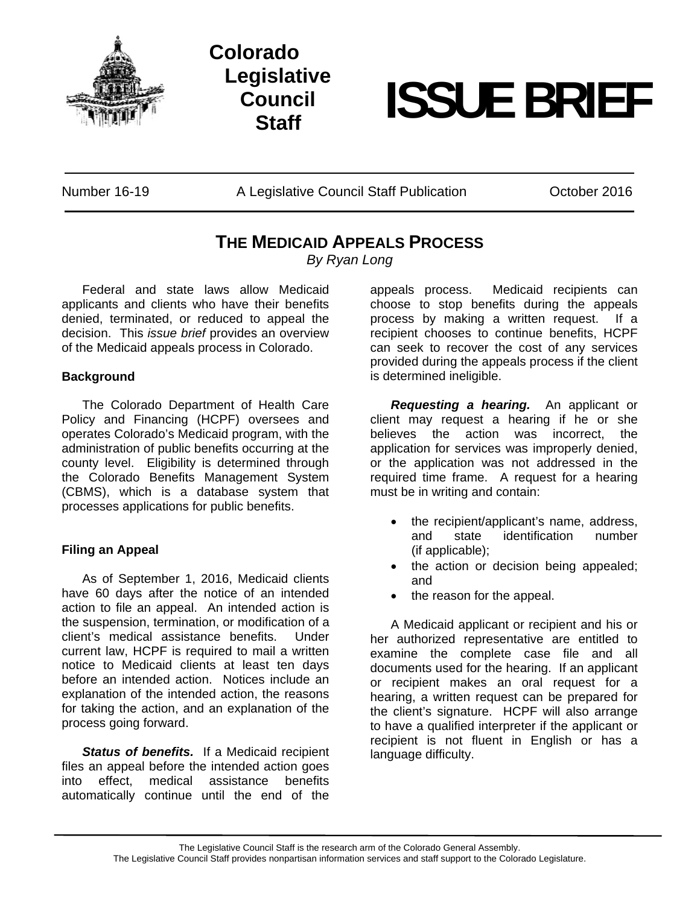

# **Colorado Legislative Council**



Number 16-19 A Legislative Council Staff Publication October 2016

# **THE MEDICAID APPEALS PROCESS**

*By Ryan Long* 

 Federal and state laws allow Medicaid applicants and clients who have their benefits denied, terminated, or reduced to appeal the decision. This *issue brief* provides an overview of the Medicaid appeals process in Colorado.

### **Background**

 The Colorado Department of Health Care Policy and Financing (HCPF) oversees and operates Colorado's Medicaid program, with the administration of public benefits occurring at the county level. Eligibility is determined through the Colorado Benefits Management System (CBMS), which is a database system that processes applications for public benefits.

## **Filing an Appeal**

As of September 1, 2016, Medicaid clients have 60 days after the notice of an intended action to file an appeal. An intended action is the suspension, termination, or modification of a client's medical assistance benefits. Under current law, HCPF is required to mail a written notice to Medicaid clients at least ten days before an intended action. Notices include an explanation of the intended action, the reasons for taking the action, and an explanation of the process going forward.

*Status of benefits.* If a Medicaid recipient files an appeal before the intended action goes into effect, medical assistance benefits automatically continue until the end of the

appeals process. Medicaid recipients can choose to stop benefits during the appeals process by making a written request. If a recipient chooses to continue benefits, HCPF can seek to recover the cost of any services provided during the appeals process if the client is determined ineligible.

*Requesting a hearing.* An applicant or client may request a hearing if he or she believes the action was incorrect, the application for services was improperly denied, or the application was not addressed in the required time frame. A request for a hearing must be in writing and contain:

- the recipient/applicant's name, address, and state identification number (if applicable);
- the action or decision being appealed; and
- the reason for the appeal.

 A Medicaid applicant or recipient and his or her authorized representative are entitled to examine the complete case file and all documents used for the hearing. If an applicant or recipient makes an oral request for a hearing, a written request can be prepared for the client's signature. HCPF will also arrange to have a qualified interpreter if the applicant or recipient is not fluent in English or has a language difficulty.